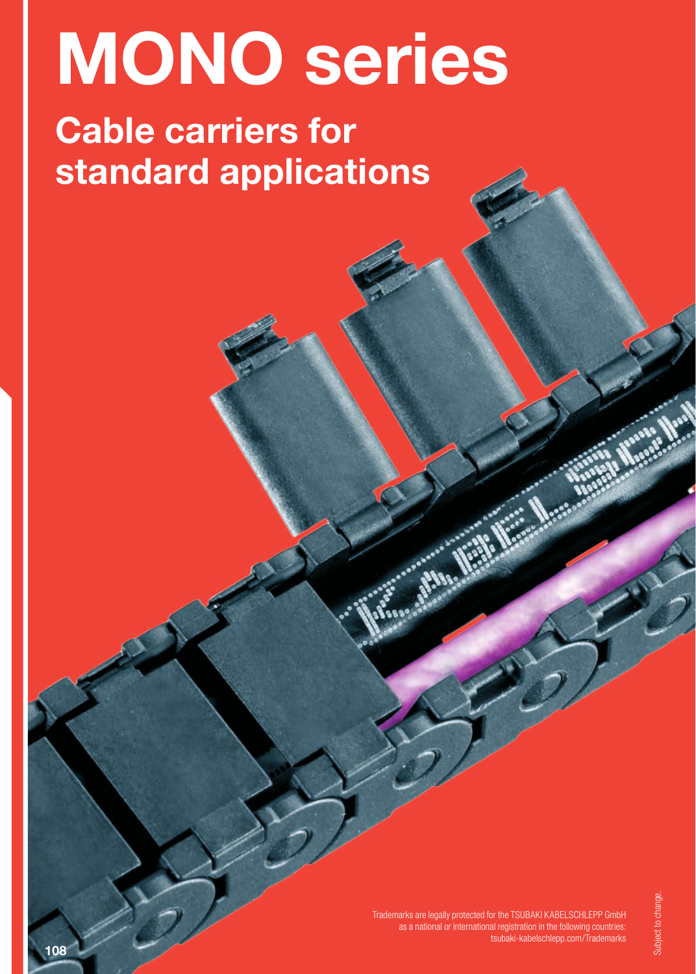# MONO series

# Cable carriers for standard applications

Trademarks are legally protected for the TSUBAKI KABELSCHLEPP GmbH as a national or international registration in the following countries: tsubaki-kabelschlepp.com/Trademarks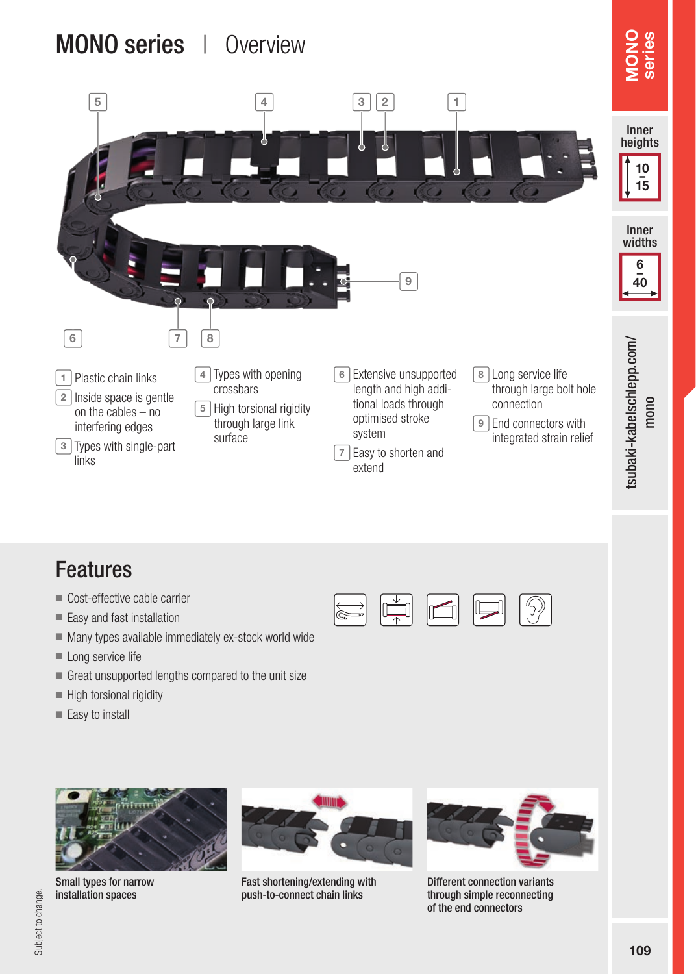## MONO series | Overview



### Features

- Cost-effective cable carrier
- Easy and fast installation
- Many types available immediately ex-stock world wide
- Long service life
- Great unsupported lengths compared to the unit size
- High torsional rigidity
- Easy to install



Small types for narrow installation spaces



i∕a

Fast shortening/extending with push-to-connect chain links



 $\overline{\mathcal{D}}$ 

 $\Box$ 

IC 71

Different connection variants through simple reconnecting of the end connectors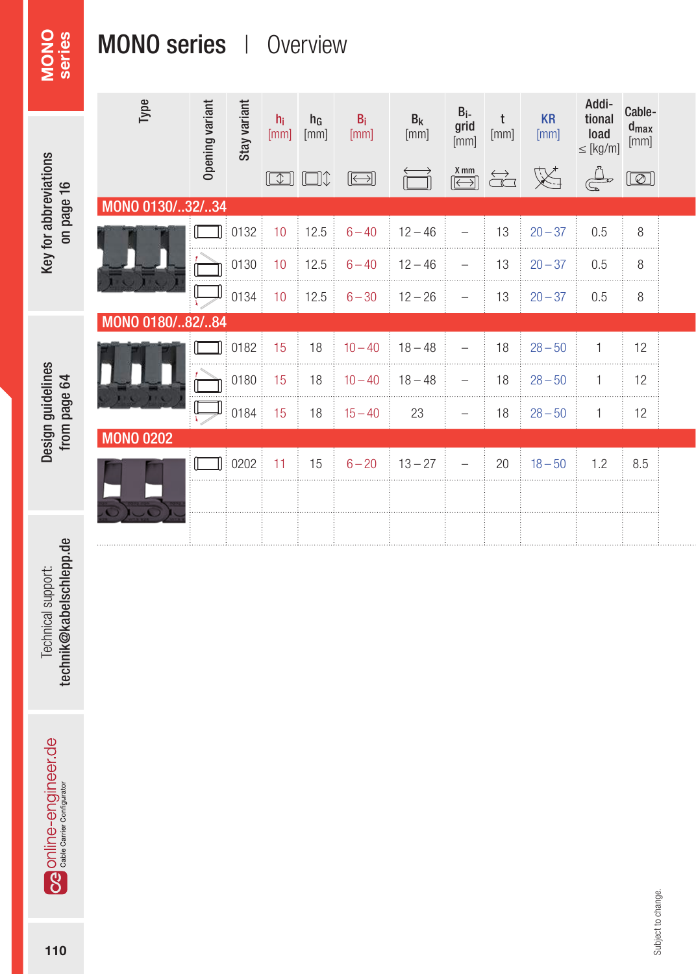# MONO series

# MONO series | Overview

|                       | Type             |                 |              |                 |               |               |                 |                                                                   |                                 |                   |                                          | Cable-                         |  |
|-----------------------|------------------|-----------------|--------------|-----------------|---------------|---------------|-----------------|-------------------------------------------------------------------|---------------------------------|-------------------|------------------------------------------|--------------------------------|--|
|                       |                  | Opening variant | Stay variant | $h_i$<br>[mm]   | $h_G$<br>[mm] | $B_i$<br>[mm] | $B_{k}$<br>[mm] | $\begin{array}{c} B_i \\ grid \\ [mm] [mm] \end{array}$           | $\frac{t}{[mm]}$                | <b>KR</b><br>[mm] | Addi-<br>tional<br>load<br>$\leq$ [kg/m] | $\mathbf{d}_{\text{max}}$ [mm] |  |
| Key for abbreviations |                  |                 |              | $\boxed{\Box}$  | ╙╝╜           | $\bigoplus$   |                 | $\frac{\mathbf{X} \text{mm}}{\boxed{\boxed{\boxed{\phantom{1}}}}$ | $\overleftrightarrow{\text{G}}$ | 义                 | $\bigoplus_{\infty}^n$                   | $\boxed{\textcircled{2}}$      |  |
|                       | MONO 0130/32/34  |                 |              |                 |               |               |                 |                                                                   |                                 |                   |                                          |                                |  |
| on page 16            |                  |                 | 0132         | 10 <sup>°</sup> | 12.5          | $6 - 40$      | $12 - 46$       | $\overline{\phantom{a}}$                                          | 13                              | $20 - 37$         | 0.5                                      | 8<br>.                         |  |
|                       |                  |                 | 0130         | 10              | 12.5          | $6 - 40$      | $12 - 46$       | $\overline{\phantom{a}}$                                          | 13                              | $20 - 37$         | 0.5                                      | 8                              |  |
|                       |                  | لصا             | 0134         | 10              | 12.5          | $6 - 30$      | $12 - 26$       | $\overline{\phantom{m}}$                                          | 13                              | $20 - 37$         | 0.5                                      | 8                              |  |
|                       | MONO 0180/82/84  |                 |              |                 |               |               |                 |                                                                   |                                 |                   |                                          |                                |  |
|                       |                  |                 | 0182         | 15              | 18            | $10 - 40$     | $18 - 48$       | $\overline{\phantom{a}}$                                          | 18                              | $28 - 50$         |                                          | 12                             |  |
| Design guidelines     |                  |                 | 0180         | 15              | 18            | $10 - 40$     | $18 - 48$       | $\overline{\phantom{a}}$                                          | 18                              | $28 - 50$         |                                          | 12                             |  |
| from page 64          | 11.71.           |                 | 0184         | 15              | 18            | $15 - 40$     | 23              | $\overline{\phantom{m}}$                                          | 18                              | $28 - 50$         |                                          | 12                             |  |
|                       | <b>MONO 0202</b> |                 |              |                 |               |               |                 |                                                                   |                                 |                   |                                          |                                |  |
|                       |                  |                 | 0202         | 11              | 15            | $6 - 20$      | $13 - 27$       | $\overline{\phantom{m}}$                                          | 20                              | $18 - 50$         | 1.2                                      | 8.5                            |  |
|                       |                  |                 |              |                 |               |               |                 |                                                                   |                                 |                   |                                          |                                |  |
|                       |                  |                 |              |                 |               |               |                 |                                                                   |                                 |                   |                                          |                                |  |
| $\mathbf{a}$          |                  |                 |              |                 |               |               |                 |                                                                   |                                 |                   |                                          |                                |  |

technik@kabelschlepp.de technik@kabelschlepp.de Technical support: Technical support:

Og online-engineer.de

Subject to change. Subject to change.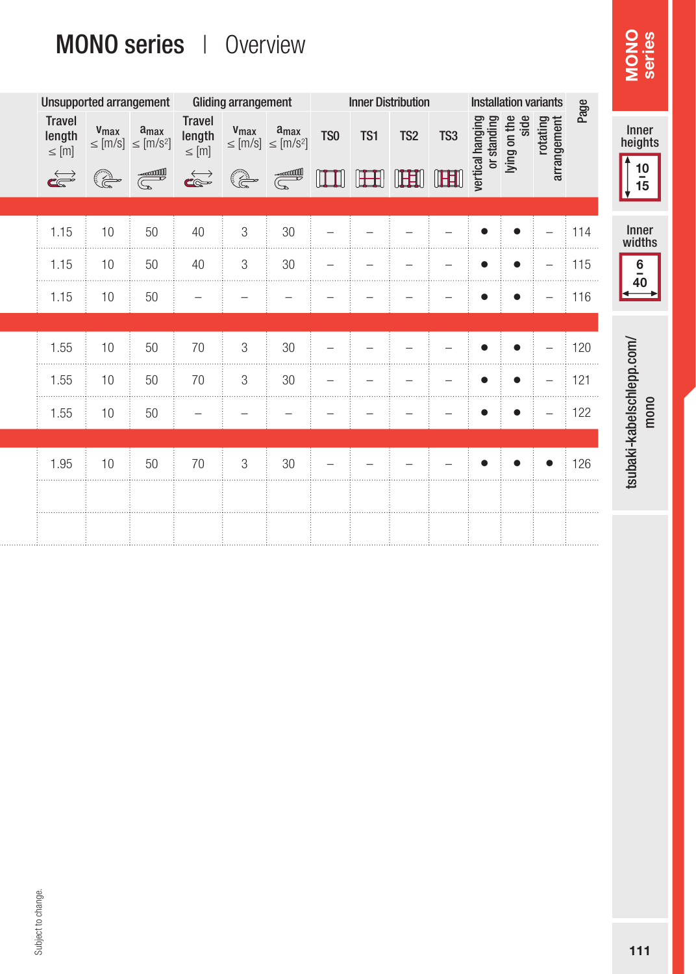# MONO series | Overview

|                                                                            |      |               |                                                                                                                 |                          |                                   |                                              |                                                                                                  |                          |                          |                           |           |                                                 |     | MONO                                                                        |
|----------------------------------------------------------------------------|------|---------------|-----------------------------------------------------------------------------------------------------------------|--------------------------|-----------------------------------|----------------------------------------------|--------------------------------------------------------------------------------------------------|--------------------------|--------------------------|---------------------------|-----------|-------------------------------------------------|-----|-----------------------------------------------------------------------------|
|                                                                            |      |               |                                                                                                                 |                          |                                   |                                              |                                                                                                  |                          |                          |                           |           |                                                 |     |                                                                             |
| <b>Travel</b><br>$\begin{array}{ll} \text{length} \\ \leq [m] \end{array}$ |      |               | <b>Travel</b><br>$\ensuremath{\mathsf{length}}\xspace$<br>$\leq$ [m]                                            |                          |                                   | TS <sub>0</sub>                              | TS1                                                                                              | TS <sub>2</sub>          | TS <sub>3</sub>          |                           | side      |                                                 |     | Inner<br>heights                                                            |
| $\overrightarrow{c}$                                                       | Œ    | <b>SOLUTE</b> | $\overrightarrow{\mathbf{C}}$                                                                                   | (a                       | <b>Contract Contract Contract</b> | $\mathbb{H}$                                 | $\mathbb H$                                                                                      | <b>IFEII</b>             | UEEU                     |                           |           |                                                 |     | $\frac{10}{15}$                                                             |
| 1.15                                                                       | 10   | 50            | 40                                                                                                              | 3                        | 30                                |                                              |                                                                                                  |                          |                          |                           |           | $\overline{\phantom{0}}$                        | 114 | Inner<br>widths                                                             |
| 1.15                                                                       | 10   | 50            | 40                                                                                                              | 3                        | 30                                | $\overline{\phantom{a}}$                     | $\overline{\phantom{m}}$                                                                         | $\overline{\phantom{0}}$ | $\overline{\phantom{a}}$ |                           | $\bullet$ | $\qquad \qquad -$                               | 115 | 6<br>$\overline{\phantom{a}}$                                               |
| 1.15                                                                       | 10   | 50            | $\qquad \qquad -$                                                                                               | $\overline{\phantom{0}}$ | $\overline{\phantom{0}}$          |                                              | -                                                                                                |                          | $\overline{\phantom{a}}$ |                           | ٠         | $\overline{\phantom{m}}$                        | 116 | 40                                                                          |
| 1.55                                                                       | 10   | 50            | 70                                                                                                              | 3                        | 30                                | $\overline{\phantom{a}}$                     |                                                                                                  |                          | -                        |                           |           | -                                               | 120 |                                                                             |
| 1.55                                                                       | 10   | 50            | 70                                                                                                              | 3                        | 30                                | $\overline{\phantom{a}}$                     | $\overline{\phantom{a}}$                                                                         | -                        | $\qquad \qquad -$        | ●                         | $\bullet$ | $\overline{\phantom{a}}$                        | 121 |                                                                             |
| 1.55                                                                       | 10   | 50            | $\qquad \qquad -$                                                                                               | $\overline{\phantom{0}}$ | $\overline{\phantom{m}}$          | $\overline{\phantom{a}}$                     | $\qquad \qquad$                                                                                  | $\overline{\phantom{0}}$ | $\overline{\phantom{a}}$ | e                         |           | $\overline{\phantom{m}}$                        | 122 | tsubaki-kabelschlepp.com/<br>mono                                           |
|                                                                            |      |               |                                                                                                                 |                          |                                   |                                              |                                                                                                  |                          |                          |                           |           |                                                 |     |                                                                             |
|                                                                            |      |               |                                                                                                                 |                          |                                   |                                              |                                                                                                  |                          |                          |                           |           |                                                 |     |                                                                             |
|                                                                            |      |               |                                                                                                                 |                          |                                   |                                              |                                                                                                  |                          |                          |                           |           |                                                 |     |                                                                             |
|                                                                            | 1.95 | 10            | Unsupported arrangement<br>$\begin{array}{ll} v_{max} & a_{max} \\ \leq [m/s] & \leq [m/s^2] \end{array}$<br>50 | <b>MONO series</b><br>70 | 3                                 | Overview<br><b>Gliding arrangement</b><br>30 | $\begin{array}{cc} \mathbf{V}_{max} & \mathbf{a}_{max} \\ \leq [m/s] & \leq [m/s^2] \end{array}$ |                          |                          | <b>Inner Distribution</b> |           | lying on the<br>vertical hanging<br>or standing |     | <b>Installation variants</b><br>Page<br>rotating<br>arrangement<br>.<br>126 |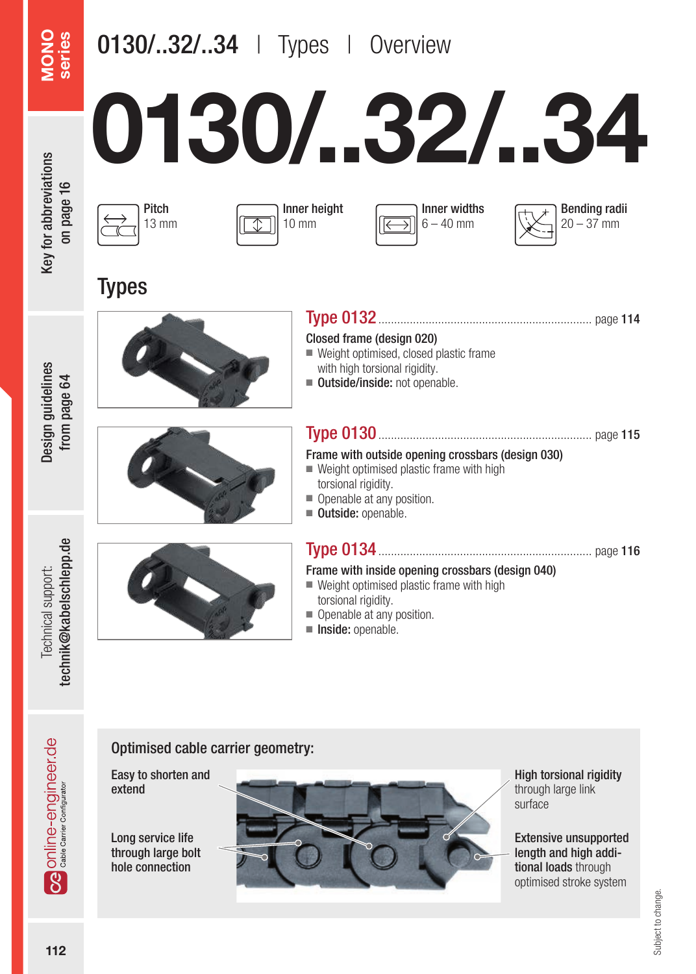## 0130/..32/..34 | Types | Overview

# 0130/..32/..34



|  | Pitch<br>13 mm |
|--|----------------|
|--|----------------|

**Types** 







Design guidelines from page 64

Design guidelines from page 64





| Closed frame (design 020)                |
|------------------------------------------|
| ■ Weight optimised, closed plastic frame |
| with high torsional rigidity.            |
| ■ Outside/inside: not openable.          |

#### Type 0130.................................................................... page 115

#### Frame with outside opening crossbars (design 030)

- $\blacksquare$  Weight optimised plastic frame with high torsional rigidity.
- Openable at any position.
- Outside: openable.

#### Type 0134.................................................................... page 116

#### Frame with inside opening crossbars (design 040)

- Weight optimised plastic frame with high torsional rigidity.
- Openable at any position.
- Inside: openable.

technik@kabelschlepp.de technik@kabelschlepp.de Technical support: Technical support:

#### Optimised cable carrier geometry:

Easy to shorten and extend

Long service life through large bolt hole connection



High torsional rigidity through large link surface

Extensive unsupported length and high additional loads through optimised stroke system

**OG** Online-engineer.de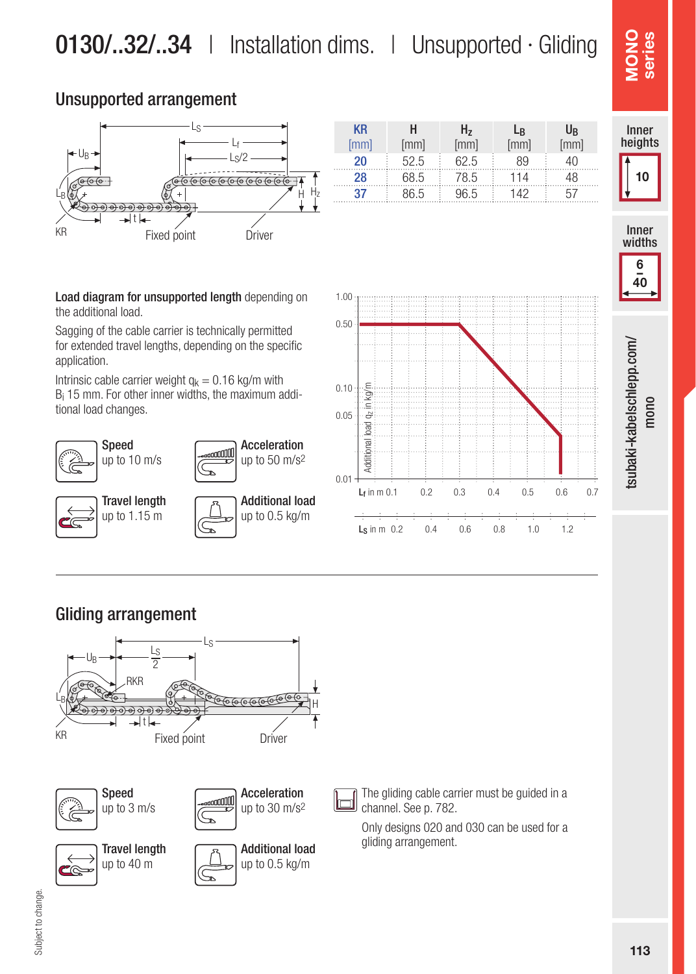#### Unsupported arrangement



| <b>KR</b><br>[mm] | н<br>[mm] | H,<br>[mm] | Lв<br>mm] | U <sub>R</sub><br>[mm] |
|-------------------|-----------|------------|-----------|------------------------|
| 20                | 52.5      | 62.5       | 89        | 1Λ                     |
| 28                | 68.5      | 78.5       | 114       | 18                     |
|                   | 86.5      | 96.5       | 142       |                        |

**SONO SERVICES**<br>
Inner<br>
Inner<br>
Widths Monder series **NO** 

Innen-Inner heights

10



Load diagram for unsupported length depending on the additional load.

Sagging of the cable carrier is technically permitted for extended travel lengths, depending on the specific application.

Intrinsic cable carrier weight  $q_k = 0.16$  kg/m with Bi 15 mm. For other inner widths, the maximum additional load changes.







#### Gliding arrangement



The gliding cable carrier must be guided in a channel. See p. 782.

Only designs 020 and 030 can be used for a gliding arrangement.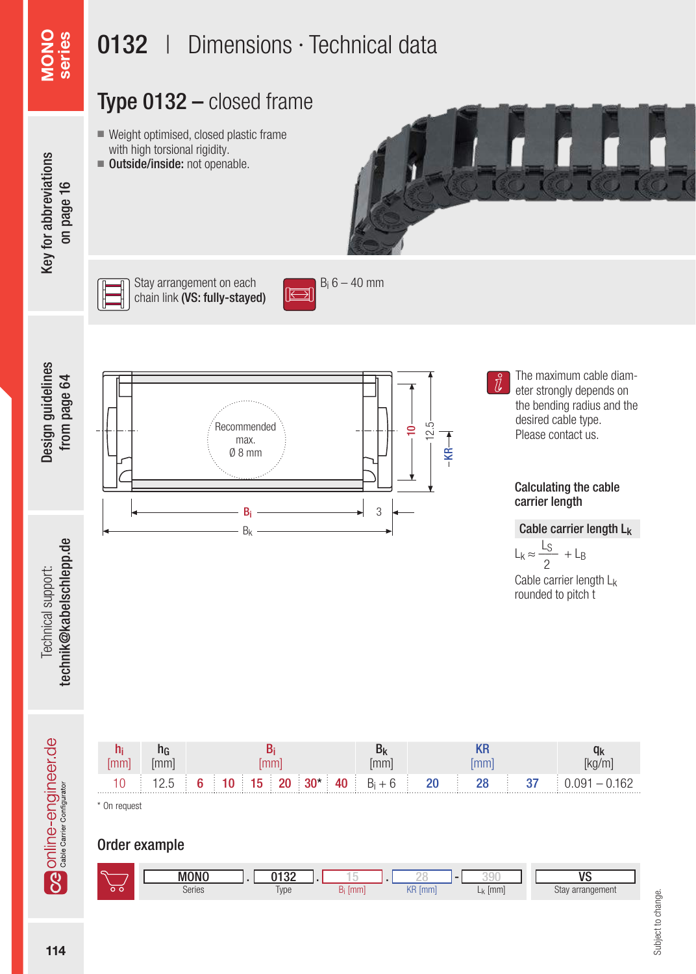### Type 0132 – closed frame

- Weight optimised, closed plastic frame with high torsional rigidity.
- Outside/inside: not openable.



# Key for abbreviations Key for abbreviations on page 16

MONO series

Design guidelines from page 64

Design guidelines from page 64



Stay arrangement on each  $B_i 6 - 40$  mm<br>chain link  $\Delta S$ : fully-stayed chain link (VS: fully-stayed)



Recommended max. Ø 8 mm 10 12.5  $B_i \longrightarrow \longrightarrow \longrightarrow$  3 Bk

 $\overline{\text{R}}$ 

The maximum cable diameter strongly depends on the bending radius and the desired cable type. Please contact us.

#### Calculating the cable carrier length

#### Cable carrier length Lk

 $L_k \approx \frac{L_S}{2} + L_B$ 2

Cable carrier length Lk rounded to pitch t



Order example



technik@kabelschlepp.de technik@kabelschlepp.de Technical support: Technical support: **OG** Online-engineer.de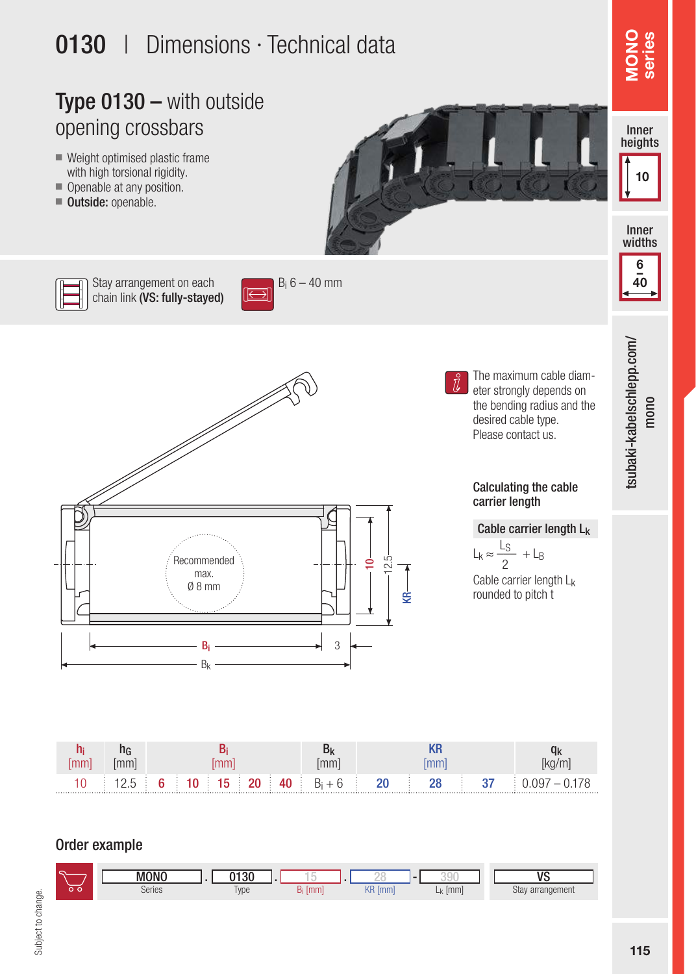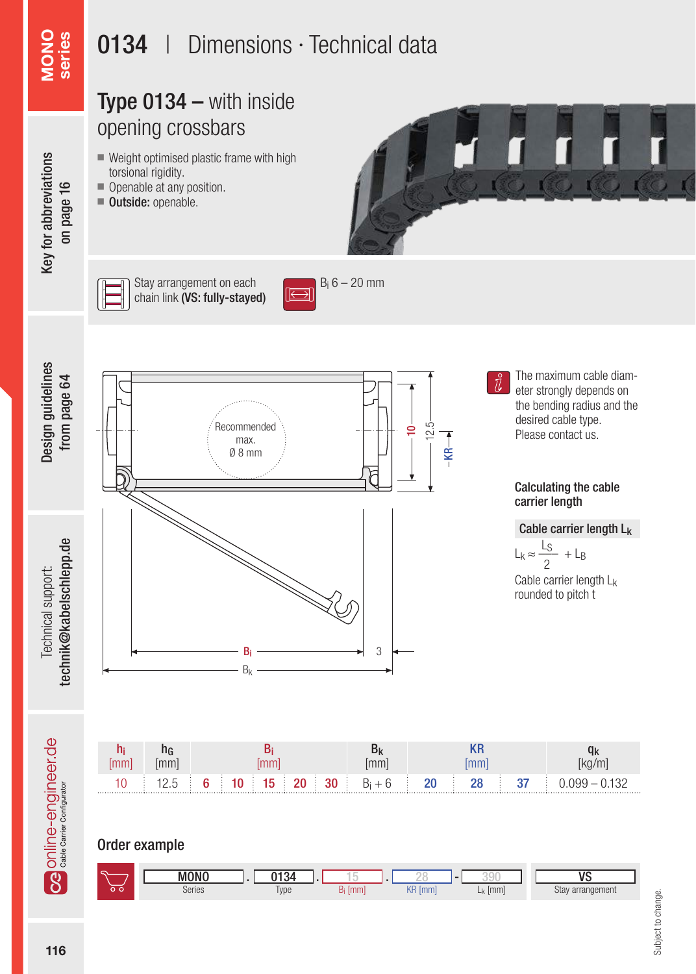

Order example

|     | <b>MONO</b> | 0134         | $\sim$   |                   | $-$           | <b>UC</b>        |
|-----|-------------|--------------|----------|-------------------|---------------|------------------|
| י ה | Series      | men.<br>Type | mm<br>DГ | KR<br>$\sqrt{mm}$ | [mm]<br>$-51$ | Stay arrangement |

Subject to change. Subject to change.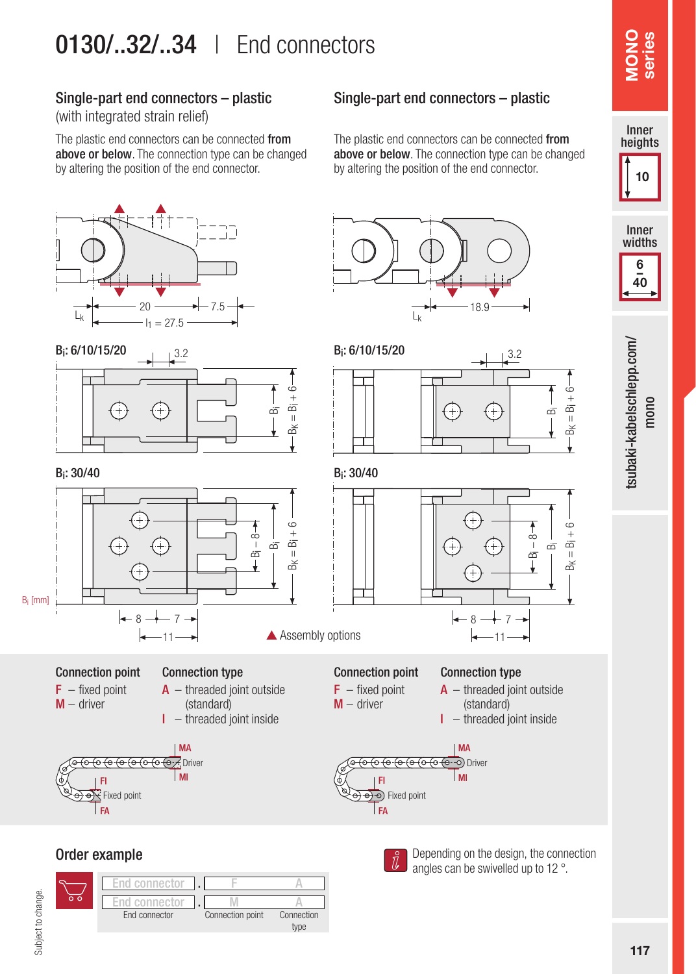## 0130/..32/..34 | End connectors

#### Single-part end connectors – plastic

(with integrated strain relief)

The plastic end connectors can be connected from above or below. The connection type can be changed by altering the position of the end connector.



Single-part end connectors – plastic

The plastic end connectors can be connected from above or below. The connection type can be changed by altering the position of the end connector.

#### Order example

Subject to change.

Subject to change.





Depending on the design, the connection angles can be swivelled up to 12 °.

Innen-Inner heights

10

117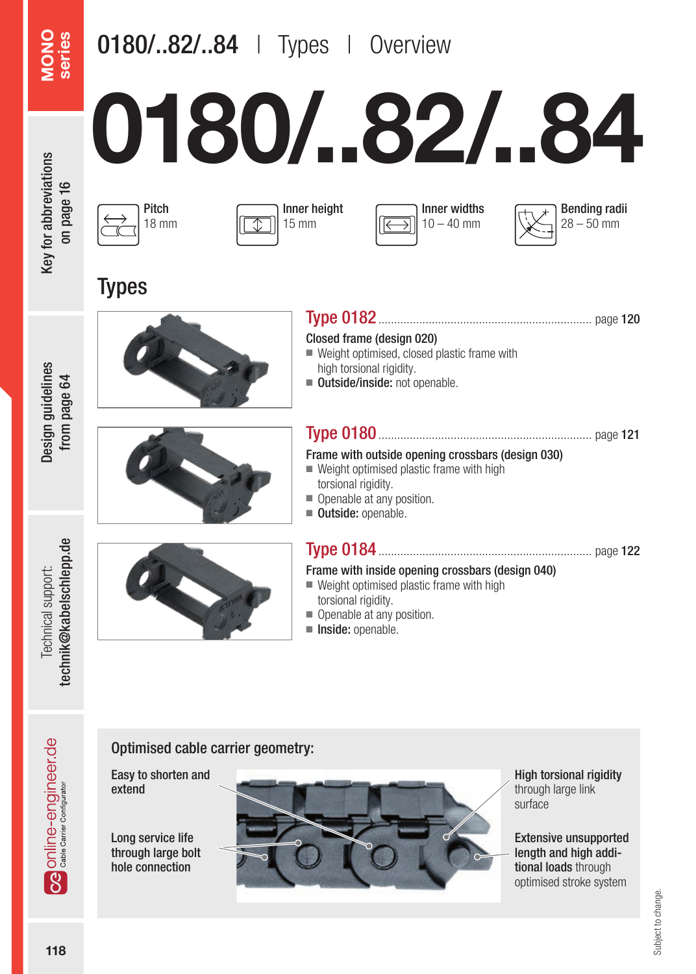# 0180/..82/..84 | Types | Overview

# 0180/..82/..84

Closed frame (design 020)





Inner height 15 mm





**Types** 

Design guidelines from page 64

Design guidelines from page 64





| GIUSEU ITAILIE (UESIUII UZU)<br>■ Weight optimised, closed plastic frame with<br>high torsional rigidity.<br>■ Outside/inside: not openable. |
|----------------------------------------------------------------------------------------------------------------------------------------------|
|                                                                                                                                              |
| Frame with outside opening crossbars (design 030)<br>$\blacksquare$ Weight optimised plastic frame with high                                 |
| torsional rigidity.                                                                                                                          |
| Openable at any position.                                                                                                                    |
| Outside: openable.                                                                                                                           |

Type 0182.................................................................... page 120

# technik@kabelschlepp.de technik@kabelschlepp.de Technical support: Technical support:



#### Type 0184.................................................................... page 122

#### Frame with inside opening crossbars (design 040)

- Weight optimised plastic frame with high torsional rigidity.
- Openable at any position.
- Inside: openable.

#### Optimised cable carrier geometry:

Easy to shorten and extend

Long service life through large bolt hole connection



High torsional rigidity through large link surface

Extensive unsupported length and high additional loads through optimised stroke system

**OG** Online-engineer.de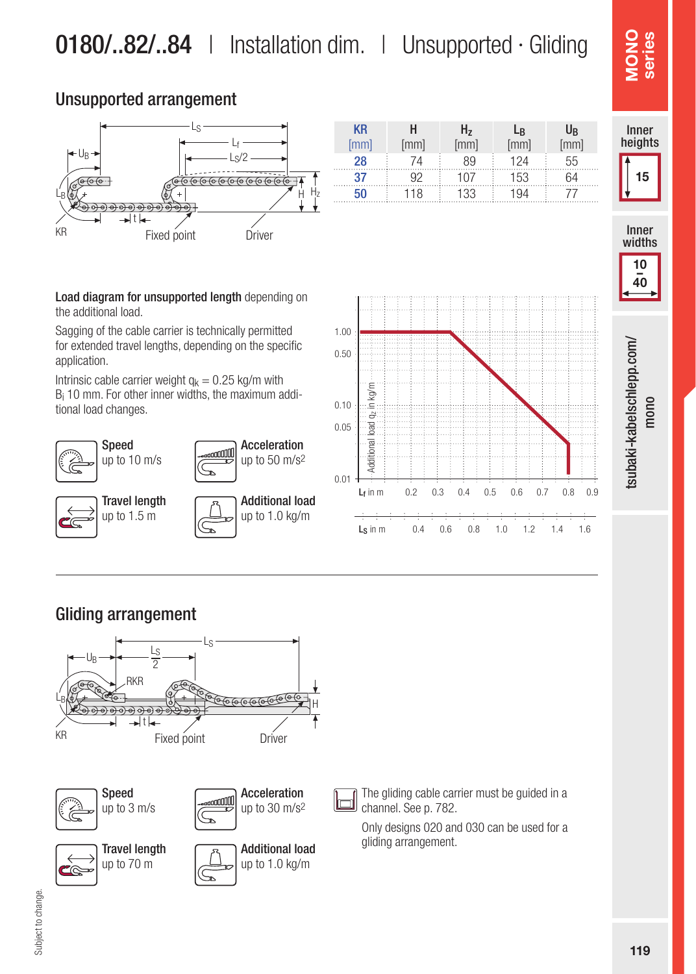KR [mm]

H [mm]

Hz  $[mm]$ 

28 74 89 124 55 37 92 107 153 64 **50** 118 133 194 77

**L**<sub>R</sub> [mm]

U<sub>R</sub>  $[mm]$ 

#### Unsupported arrangement



LS

 $LB(\overline{\mathfrak{d}}\chi +$   $\overline{\mathfrak{d}}\chi +$   $\overline{\mathfrak{d}}\chi +$   $\overline{\mathfrak{d}}\chi +$ 

 $L_{\text{f}}$ 

 $c/2$ 

Acceleration up to 50 m/s2

Additional load up to 1.0 kg/m

the additional load.

Speed up to 10 m/s

ć

Travel length up to  $1.5 \text{ m}$ 

t

UB

Sagging of the cable carrier is technically permitted for extended travel lengths, depending on the specific application.

Intrinsic cable carrier weight  $q_k = 0.25$  kg/m with Bi 10 mm. For other inner widths, the maximum additional load changes.



Subject to change.

Subject to change.



The gliding cable carrier must be guided in a channel. See p. 782.

Only designs 020 and 030 can be used for a gliding arrangement.









15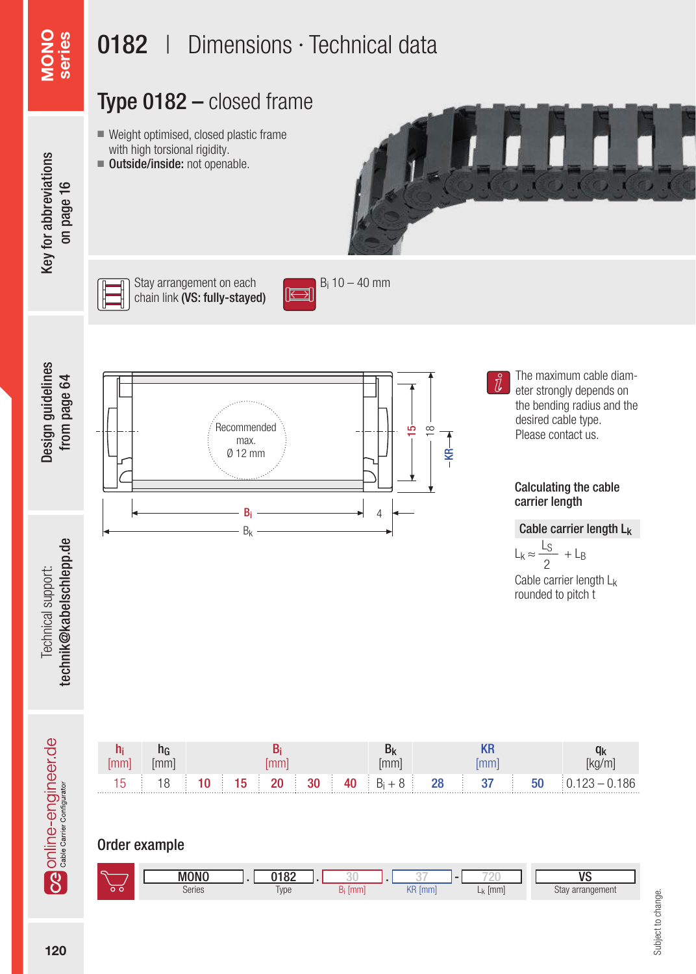### Type 0182 – closed frame

- Weight optimised, closed plastic frame with high torsional rigidity.
- Outside/inside: not openable.



# Key for abbreviations Key for abbreviations on page 16

MONO series

Design guidelines from page 64

Design guidelines from page 64



Stay arrangement on each chain link (VS: fully-stayed)



Recommended max. Ø 12 mm 15  $\frac{\infty}{\infty}$  $\overline{R}$ Bi Bk 4

The maximum cable diameter strongly depends on the bending radius and the desired cable type. Please contact us.

#### Calculating the cable carrier length

#### Cable carrier length Lk

$$
L_k \approx \frac{L_S}{2} + L_B
$$

Cable carrier length Lk rounded to pitch t



Order example

| с |             |                       |             |          |                     | ١ı                  |
|---|-------------|-----------------------|-------------|----------|---------------------|---------------------|
|   | <b>MONC</b> | 0182                  |             |          |                     |                     |
|   | Series      | $\sim$<br>Type<br>. . | $\sqrt{mm}$ | KR<br>mm | $\sqrt{mm}$<br>$-1$ | Stay<br>arrangement |

Subject to change. Subject to change.

Technical support: technik@kabelschlepp.de

technik@kabelschlepp.de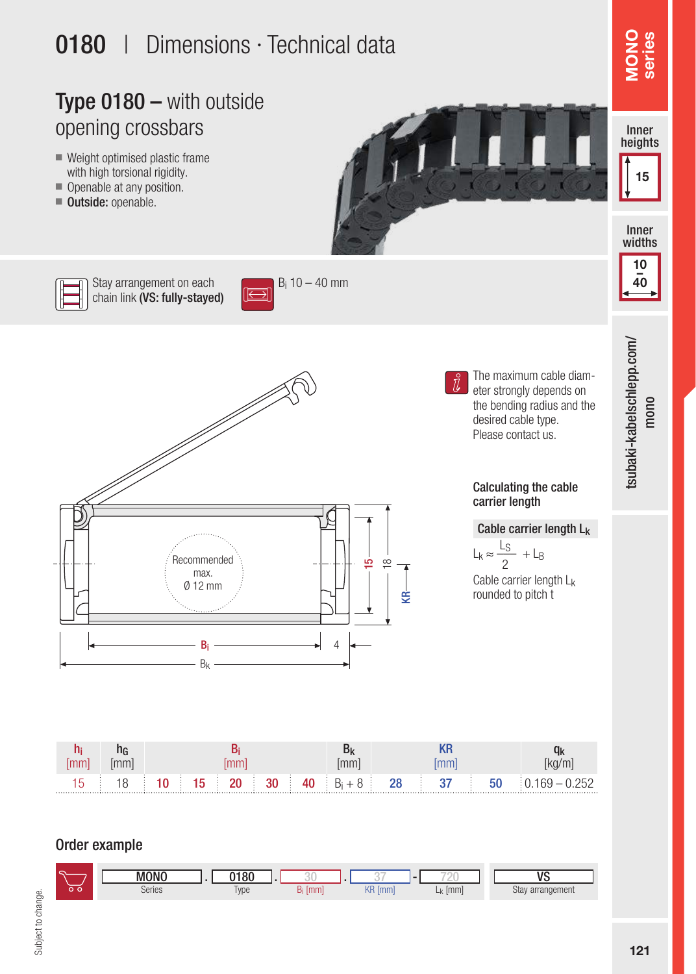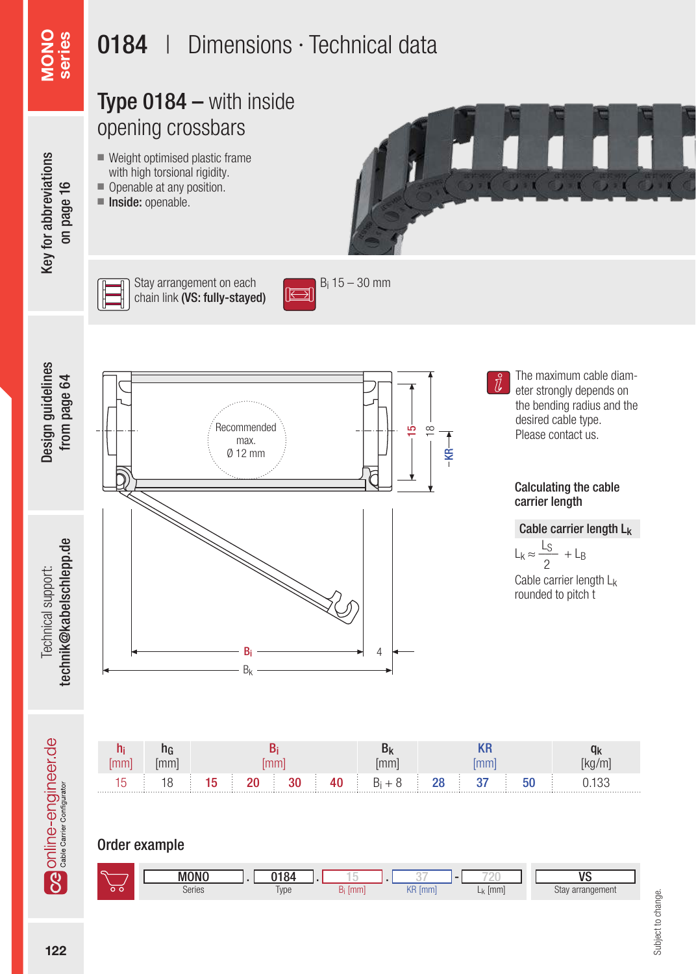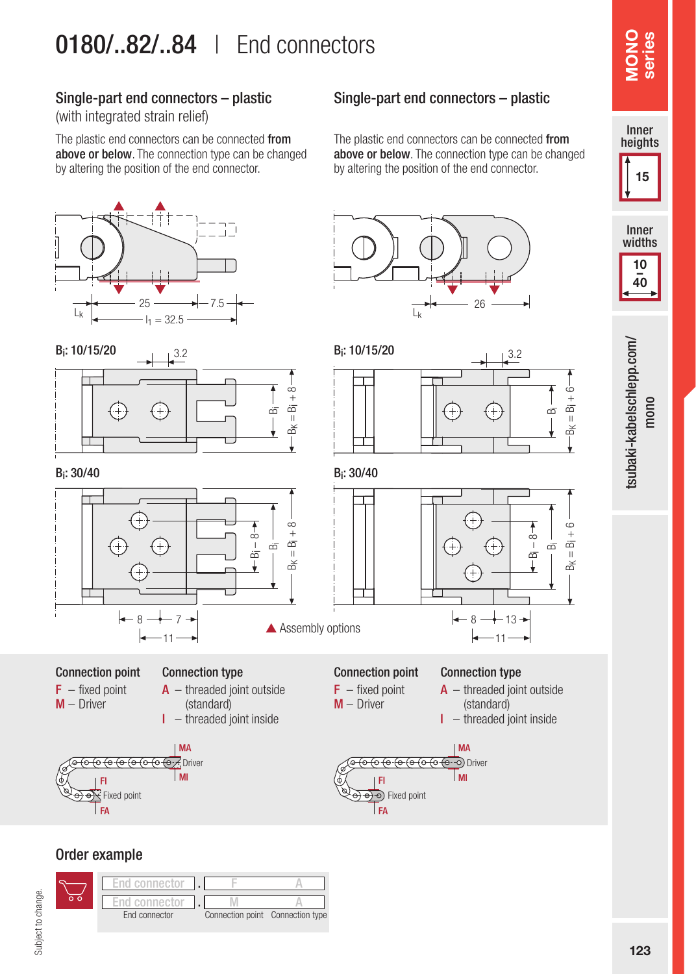## 0180/..82/..84 | End connectors

#### Single-part end connectors – plastic

(with integrated strain relief)

The plastic end connectors can be connected from above or below. The connection type can be changed by altering the position of the end connector.





Bi: 30/40 Bi: 30/40



Connection point  $F - fixed point$ M – Driver

#### Connection type  $A$  – threaded joint outside

(standard)  $I$  – threaded joint inside



#### Order example



#### Single-part end connectors – plastic

The plastic end connectors can be connected from above or below. The connection type can be changed by altering the position of the end connector.







Connection type

 $F - fixed point$ M – Driver

Connection point

 $A$  – threaded joint outside (standard)

 $I$  – threaded joint inside









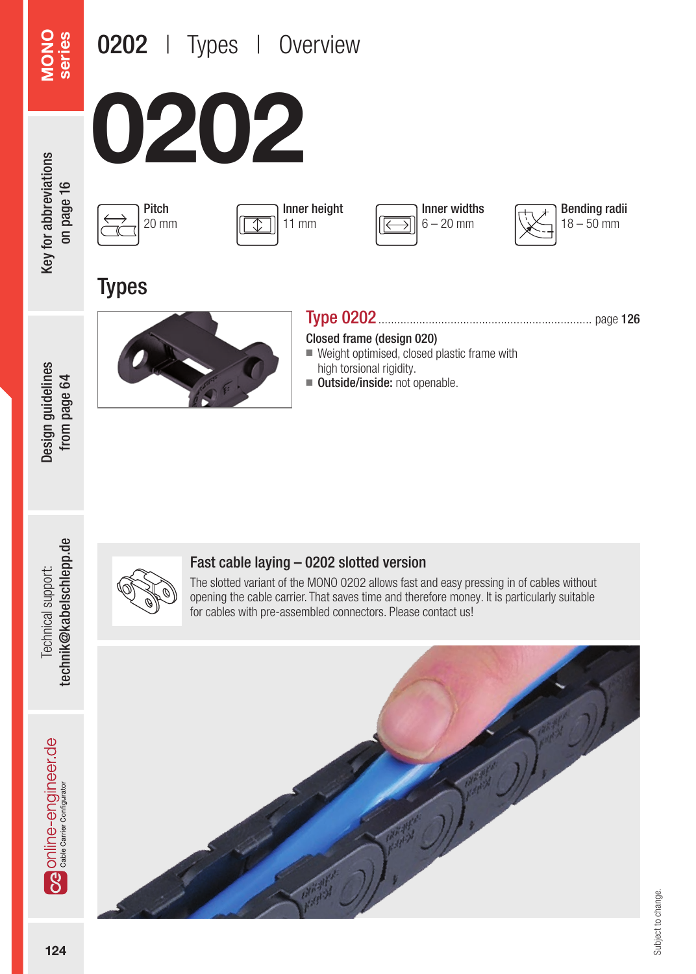# 0202 | Types | Overview

MONO series









**Types** 



#### Type 0202.................................................................... page 126

Closed frame (design 020)

■ Weight optimised, closed plastic frame with high torsional rigidity.

Inner widths  $6 - 20$  mm

Bending radii  $18 - 50$  mm

■ Outside/inside: not openable.

Design guidelines from page 64

Design guidelines from page 64



#### Fast cable laying – 0202 slotted version

The slotted variant of the MONO 0202 allows fast and easy pressing in of cables without opening the cable carrier. That saves time and therefore money. It is particularly suitable for cables with pre-assembled connectors. Please contact us!



**Ca** Online-engineer.de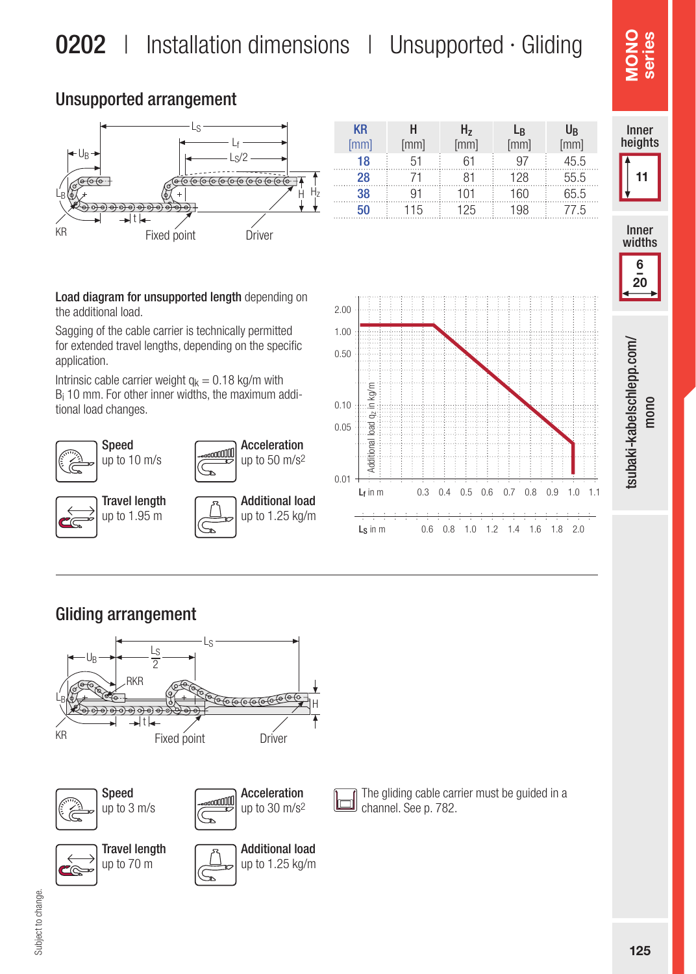KR

H

#### Unsupported arrangement



Load diagram for unsupported length depending on the additional load.

Sagging of the cable carrier is technically permitted for extended travel lengths, depending on the specific application.

Intrinsic cable carrier weight  $q_k = 0.18$  kg/m with Bi 10 mm. For other inner widths, the maximum additional load changes.





Hz

**L**<sub>R</sub>

U<sub>R</sub>

#### Gliding arrangement





# series  $\frac{8}{2}$



6  $\frac{1}{20}$ 

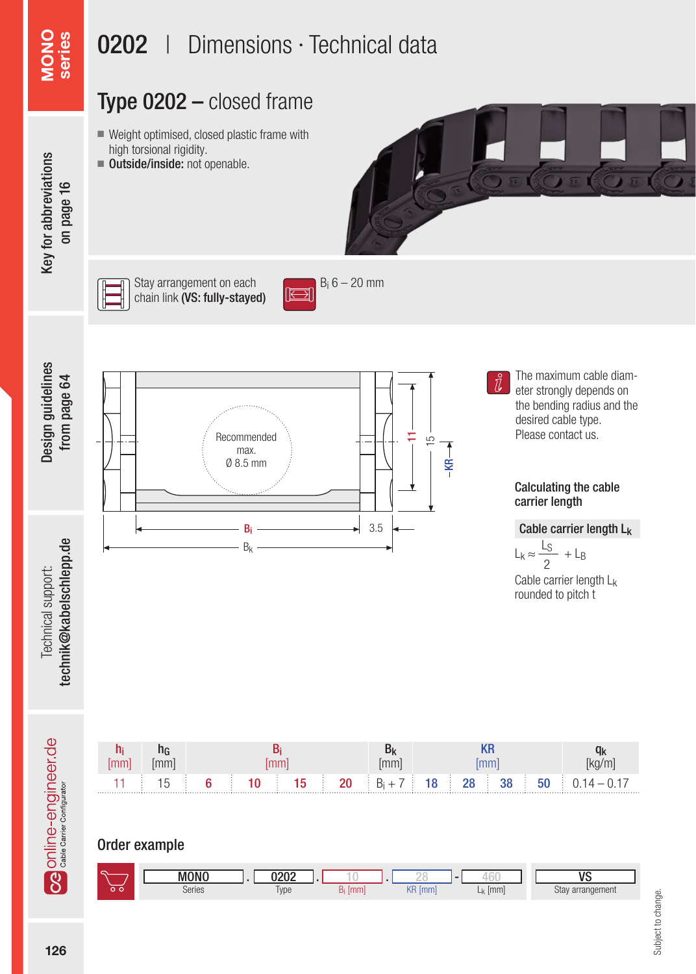## Type 0202 – closed frame

- Weight optimised, closed plastic frame with high torsional rigidity.
- Outside/inside: not openable.



Key for abbreviations Key for abbreviations on page 16

MONO series



Stay arrangement on each chain link (VS: fully-stayed)



 $B_i$  6 – 20 mm



Technical support:

Technical support:





The maximum cable diameter strongly depends on the bending radius and the desired cable type. Please contact us.

#### Calculating the cable carrier length

Cable carrier length Lk

 $L_k \approx \frac{L_S}{2} + L_B$ 2

Cable carrier length Lk rounded to pitch t



Order example

| $\subset$     | 10010<br>1NI | nnn<br>υ∠υ∠ |      |          |              | $\overline{\phantom{a}}$ |
|---------------|--------------|-------------|------|----------|--------------|--------------------------|
| $\sim$ $\sim$ | Series       | Type        | [mm] | KR<br>mm | [mm<br>$-Kk$ | Stay<br>arrangement      |

Subject to change. Subject to change.

Online-engineer.de